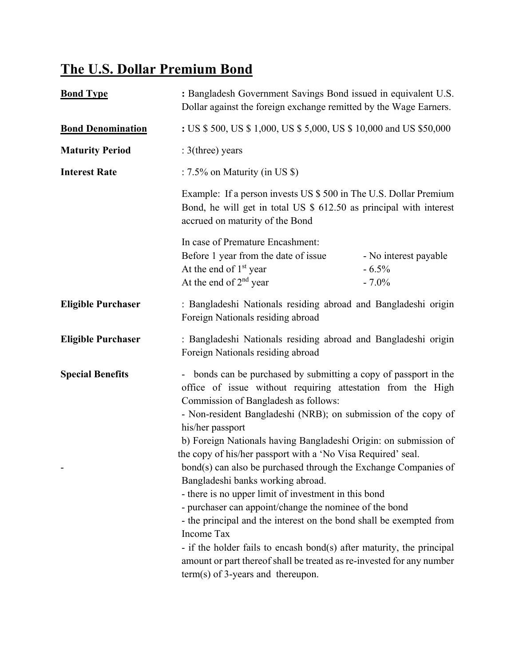## **The U.S. Dollar Premium Bond**

| <b>Bond Type</b>          | : Bangladesh Government Savings Bond issued in equivalent U.S.<br>Dollar against the foreign exchange remitted by the Wage Earners.                                                                                                                                                                                                                                                                                                                                                                                                                                                                                                                                                                                                                                                                                                                                                                       |                                              |
|---------------------------|-----------------------------------------------------------------------------------------------------------------------------------------------------------------------------------------------------------------------------------------------------------------------------------------------------------------------------------------------------------------------------------------------------------------------------------------------------------------------------------------------------------------------------------------------------------------------------------------------------------------------------------------------------------------------------------------------------------------------------------------------------------------------------------------------------------------------------------------------------------------------------------------------------------|----------------------------------------------|
| <b>Bond Denomination</b>  | : US \$ 500, US \$ 1,000, US \$ 5,000, US \$ 10,000 and US \$50,000                                                                                                                                                                                                                                                                                                                                                                                                                                                                                                                                                                                                                                                                                                                                                                                                                                       |                                              |
| <b>Maturity Period</b>    | $: 3$ (three) years                                                                                                                                                                                                                                                                                                                                                                                                                                                                                                                                                                                                                                                                                                                                                                                                                                                                                       |                                              |
| <b>Interest Rate</b>      | : 7.5% on Maturity (in US $\})$<br>Example: If a person invests US \$500 in The U.S. Dollar Premium<br>Bond, he will get in total US \$ 612.50 as principal with interest<br>accrued on maturity of the Bond                                                                                                                                                                                                                                                                                                                                                                                                                                                                                                                                                                                                                                                                                              |                                              |
|                           |                                                                                                                                                                                                                                                                                                                                                                                                                                                                                                                                                                                                                                                                                                                                                                                                                                                                                                           |                                              |
|                           | In case of Premature Encashment:<br>Before 1 year from the date of issue<br>At the end of 1 <sup>st</sup> year<br>At the end of $2nd$ year                                                                                                                                                                                                                                                                                                                                                                                                                                                                                                                                                                                                                                                                                                                                                                | - No interest payable<br>$-6.5%$<br>$-7.0\%$ |
| <b>Eligible Purchaser</b> | : Bangladeshi Nationals residing abroad and Bangladeshi origin<br>Foreign Nationals residing abroad                                                                                                                                                                                                                                                                                                                                                                                                                                                                                                                                                                                                                                                                                                                                                                                                       |                                              |
| <b>Eligible Purchaser</b> | : Bangladeshi Nationals residing abroad and Bangladeshi origin<br>Foreign Nationals residing abroad                                                                                                                                                                                                                                                                                                                                                                                                                                                                                                                                                                                                                                                                                                                                                                                                       |                                              |
| <b>Special Benefits</b>   | - bonds can be purchased by submitting a copy of passport in the<br>office of issue without requiring attestation from the High<br>Commission of Bangladesh as follows:<br>- Non-resident Bangladeshi (NRB); on submission of the copy of<br>his/her passport<br>b) Foreign Nationals having Bangladeshi Origin: on submission of<br>the copy of his/her passport with a 'No Visa Required' seal.<br>bond(s) can also be purchased through the Exchange Companies of<br>Bangladeshi banks working abroad.<br>- there is no upper limit of investment in this bond<br>- purchaser can appoint/change the nominee of the bond<br>- the principal and the interest on the bond shall be exempted from<br>Income Tax<br>- if the holder fails to encash bond(s) after maturity, the principal<br>amount or part thereof shall be treated as re-invested for any number<br>$term(s)$ of 3-years and thereupon. |                                              |